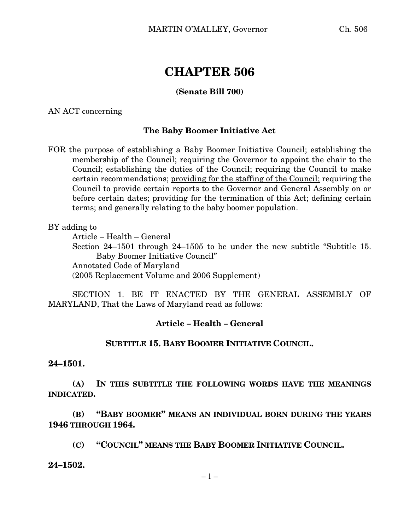# **CHAPTER 506**

### **(Senate Bill 700)**

AN ACT concerning

### **The Baby Boomer Initiative Act**

FOR the purpose of establishing a Baby Boomer Initiative Council; establishing the membership of the Council; requiring the Governor to appoint the chair to the Council; establishing the duties of the Council; requiring the Council to make certain recommendations; providing for the staffing of the Council; requiring the Council to provide certain reports to the Governor and General Assembly on or before certain dates; providing for the termination of this Act; defining certain terms; and generally relating to the baby boomer population.

BY adding to

Article – Health – General Section 24–1501 through 24–1505 to be under the new subtitle "Subtitle 15. Baby Boomer Initiative Council" Annotated Code of Maryland (2005 Replacement Volume and 2006 Supplement)

SECTION 1. BE IT ENACTED BY THE GENERAL ASSEMBLY OF MARYLAND, That the Laws of Maryland read as follows:

### **Article – Health – General**

### **SUBTITLE 15. BABY BOOMER INITIATIVE COUNCIL.**

#### **24–1501.**

**(A) IN THIS SUBTITLE THE FOLLOWING WORDS HAVE THE MEANINGS INDICATED.**

**(B) "BABY BOOMER" MEANS AN INDIVIDUAL BORN DURING THE YEARS 1946 THROUGH 1964.**

- **(C) "COUNCIL" MEANS THE BABY BOOMER INITIATIVE COUNCIL.**
- **24–1502.**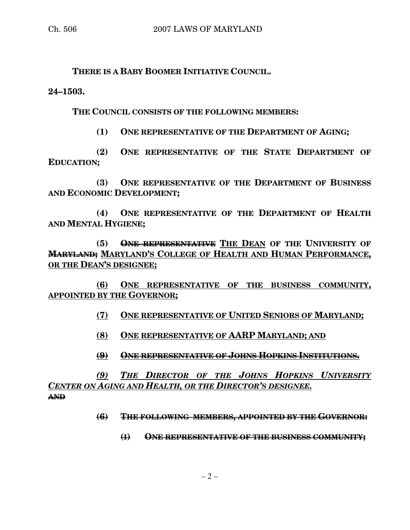**THERE IS A BABY BOOMER INITIATIVE COUNCIL.**

**24–1503.**

**THE COUNCIL CONSISTS OF THE FOLLOWING MEMBERS:**

**(1) ONE REPRESENTATIVE OF THE DEPARTMENT OF AGING;**

**(2) ONE REPRESENTATIVE OF THE STATE DEPARTMENT OF EDUCATION;**

**(3) ONE REPRESENTATIVE OF THE DEPARTMENT OF BUSINESS AND ECONOMIC DEVELOPMENT;**

**(4) ONE REPRESENTATIVE OF THE DEPARTMENT OF HEALTH AND MENTAL HYGIENE;**

**(5) ONE REPRESENTATIVE THE DEAN OF THE UNIVERSITY OF MARYLAND; MARYLAND'S COLLEGE OF HEALTH AND HUMAN PERFORMANCE, OR THE DEAN'S DESIGNEE;**

**(6) ONE REPRESENTATIVE OF THE BUSINESS COMMUNITY, APPOINTED BY THE GOVERNOR;**

**(7) ONE REPRESENTATIVE OF UNITED SENIORS OF MARYLAND;**

**(8) ONE REPRESENTATIVE OF AARP MARYLAND; AND**

**(9) ONE REPRESENTATIVE OF JOHNS HOPKINS INSTITUTIONS.**

*(9) THE DIRECTOR OF THE JOHNS HOPKINS UNIVERSITY CENTER ON AGING AND HEALTH, OR THE DIRECTOR'S DESIGNEE.* **AND**

**(6) THE FOLLOWING MEMBERS, APPOINTED BY THE GOVERNOR:**

**(I) ONE REPRESENTATIVE OF THE BUSINESS COMMUNITY;**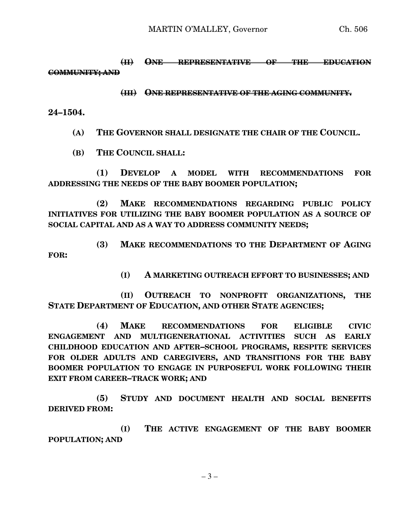**(II) ONE REPRESENTATIVE OF THE EDUCATION COMMUNITY; AND**

#### **(III) ONE REPRESENTATIVE OF THE AGING COMMUNITY.**

**24–1504.**

**(A) THE GOVERNOR SHALL DESIGNATE THE CHAIR OF THE COUNCIL.**

**(B) THE COUNCIL SHALL:**

**(1) DEVELOP A MODEL WITH RECOMMENDATIONS FOR ADDRESSING THE NEEDS OF THE BABY BOOMER POPULATION;**

**(2) MAKE RECOMMENDATIONS REGARDING PUBLIC POLICY INITIATIVES FOR UTILIZING THE BABY BOOMER POPULATION AS A SOURCE OF SOCIAL CAPITAL AND AS A WAY TO ADDRESS COMMUNITY NEEDS;**

**(3) MAKE RECOMMENDATIONS TO THE DEPARTMENT OF AGING FOR:**

**(I) A MARKETING OUTREACH EFFORT TO BUSINESSES; AND**

**(II) OUTREACH TO NONPROFIT ORGANIZATIONS, THE STATE DEPARTMENT OF EDUCATION, AND OTHER STATE AGENCIES;**

**(4) MAKE RECOMMENDATIONS FOR ELIGIBLE CIVIC ENGAGEMENT AND MULTIGENERATIONAL ACTIVITIES SUCH AS EARLY CHILDHOOD EDUCATION AND AFTER–SCHOOL PROGRAMS, RESPITE SERVICES FOR OLDER ADULTS AND CAREGIVERS, AND TRANSITIONS FOR THE BABY BOOMER POPULATION TO ENGAGE IN PURPOSEFUL WORK FOLLOWING THEIR EXIT FROM CAREER–TRACK WORK; AND**

**(5) STUDY AND DOCUMENT HEALTH AND SOCIAL BENEFITS DERIVED FROM:**

**(I) THE ACTIVE ENGAGEMENT OF THE BABY BOOMER POPULATION; AND**